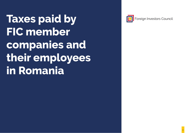**Taxes paid by FIC member companies and their employees in Romania**



Foreign Investors Council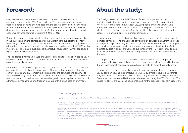### **Foreword:**

Over the past two years, economies around the world have faced various challenges posed by the COVID-19 pandemic. The post-pandemic recovery has been hampered by rising energy prices and the context of the conflict in Ukraine. Recent communications by both international and national institutions have revised downwards economic growth predictions for the current year, estimating a small economic advance somewhere around 2-2.8% for 2022.

During this period, it is important to continue with existing investment projects, both in the public and private sectors, and for the authorities to support the economy by helping to provide a climate of stability, transparency and predictability. Greater efforts should be made to absorb the billions of euros available via the PNRR<sup>1</sup>, so that investments in key pillars such as: energy, institutional capacity, human capital and digitalization may be accelerated.

The PNRR also involves a detailed analysis of Romanian tax legislation, especially in relation to profit tax, the social contributions due for incomes obtained by individuals, as well as other key areas.

FIC members welcome the opportunity for a general revision of the fiscal framework and would like to highlight the importance of tax legislation remaining attractive, so that Romania will stay competitive with neighboring countries and continue to attract more foreign investment. It is very important that the tax system should remain predictable and competitive, and that any changes to the tax system should occur in a transparent manner and only through dialogue with the business environment.

# **About the study:**

The Foreign Investors Council (FIC) is one of the most important business organizations in Romania, which brings together about 120 of the largest foreign investors. FIC members employ about 180,000 people and have a cumulative turnover of one-fifth of Romania's GDP<sup>2</sup>. We should point out that FIC documents on which this study is based do not reflect the position of all companies with foreign capital in Romania but only FIC member companies.

This document is the result of a joint effort made by a representative sample of FIC member companies. The analysis was carried out by collecting data from 44 groups of companies (approximately 78 entities) registered with the Romanian Trade Register and provides transparent details on the level of taxes and duties they transfer to the state budget. A similar analysis was published by the FIC in 2019, providing an overview of the contribution of foreign companies to GDP and wealth creation in Romania.

The purpose of the study is to show the direct contribution that a sample of companies with foreign capital makes to the economic growth registered in Romania through taxes, investments, salaries paid and indirectly through the supply chain.

For ease of reference, in our analysis, we will generically name these companies as "FIC companies", and their employees will be "FIC employees". FIC data refer to 2019, in view of the unfavourable evolution of budget revenues in the period March - December 2020, generated by the support measures during the COVID-19 crisis. The figures for 2019 were also used as a benchmark for the process of economic recovery.

#### Important Copyright Notice

Copyright © 2022. The Foreign Investors Council (FIC), 11 Ion Câmpineanu St., 010031 Bucharest, Romania. All Rights Reserved.

This analysis is the result of the valuable and voluntary contribution of time, resources, and efforts by the FIC's members, officers, Board, task forces, and staff in collaboration with the Consilium Policy Advisors Group (CPAG).

The FIC distributes this analysis free-of-charge as part of its commitment to the community. Limited printed copies are available at the FIC's headquarters. The press, broadcast media, NGOs, and other parties with a similar commitment to the community are granted permission to reproduce and publish excerpts from this analysis in any medium and without fee or royalty and without a formal written request, provided that such excerpts are not made or distributed for commercial purposes and that the FIC is attributed as the source in all cases without exception. In order to quarantee the accuracy of the quotation and republication process, this analysis is available in electronic format in both Romanian and English on the FIC's website at www.fic.ro. No one may publish, transmit, transfer or sell, reproduce, create derivative works from, distribute, or in any way exploit any of the contents of this document, in whole or in part, except as expressly permitted above. Although the FIC has made a concerted effort to ensure that this report is timely and accurate, the FIC assumes no liability or responsibility whatsoever for errors or omissions in this analysis.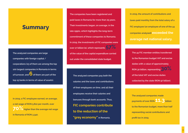### **Summary**

**The analyzed companies are large companies with foreign capital / corporations (23 of them are among the top 100 largest companies in Romania in terms of turnover, and 6 of them are part of the top 15 banks in terms of value of assets).**

**In 2019, a FIC employee earned, on average, a net wage of RON 5,810 per month, over 70% higher than the average net wage** 

**in Romania of RON 3,340.**

**The companies have been registered and paid taxes in Romania for more than 25 years. Their investments began, on average, in the late 1990s, which highlights the long-term commitment of these companies to Romania. In 2019, the investments of FIC companies were over 17 billion lei, which represents 57% of the value of the capital expenditure carried out under the consolidated state budget.**

**The analyzed companies pay both the salaries and the taxes and contributions of their employees on time, and all their employees receive their salaries and bonuses through bank accounts. Thus, FIC companies contribute to the reduction of the "grey economy" in Romania.**

**In 2019, the amount of contributions and taxes paid monthly from the total salary of a FIC employee (an employee of one of the 44 companies analysed) exceeded the average net national salary.**

**The 44 FIC member entities transferred to the Romanian budget VAT and excise duties with a value of approximately RON 30 billion, representing 30% of the total VAT and excise duties collected by the state (RON 97 billion).**

**The analysed companies made payments of over RON 11.3 billion to the Romanian budget, more than half representing social contributions and profit tax in 2019.**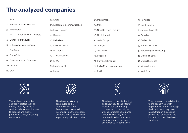### **The analyzed companies**

| 1. Atos                          | 12. Engie                      | 23. Mega Image                  | 34. Raiffeisen              |
|----------------------------------|--------------------------------|---------------------------------|-----------------------------|
| 2. Banca Comerciala Romana       | 13. Ericsson Telecommunication | 24. MOL                         | 35. Saint-Gobain            |
| 3. Bergenbier                    | 14. Ernst & Young              | 25. Nepi Romanian entities      | 36. Selgros Cash&Carry      |
| 4. BRD - Groupe Societe Generale | 15. Farmvet                    | 26. NN Asigurari                | 37. Sensiblu                |
| 5. Bristol-Myers Squibb          | 16. Heineken                   | 27. OMV Group                   | 38. Sodexo Pass             |
| 6. British American Tobacco      | 17. ICME ECAB SA               | 28. Orange                      | 39. Tenaris Silcotub        |
| 7. Can Pack                      | 18. ING Bank                   | 29. OTP Bank                    | 40. TotalEnergies Marketing |
| 8. Coca-Cola                     | 19. JT International           | 30. Pepsi Co                    | 41. Unicredit Bank          |
| 9. Constanta South Container     | 20. KPMG                       | 31. Provident Financial         | 42. Ursus Breweries         |
| 10. Deloitte                     | 21. Liberty Galati             | 32. Philip Morris International | 43. Vienna Energy           |
| 11. E.ON                         | 22. Mazars                     | 33. PwC                         | 44. Vodafone                |
|                                  |                                |                                 |                             |



The analysed companies operate in sectors such as: energy, industry, financial services, telecommunications, IT, tobacco and alcohol production, trade, consulting and others.



They have significantly contributed to the modernisation of the Romanian economy, to its integration into the European economy and to international export and production chains.



They have brought technology and know-how to the internal market, thus contributing to increased productivity as well as corporate governance through which they have promoted the importance of fairness, transparency and accountability in companies.



They have contributed directly to the economic growth registered by Romania through the investments they have made, through the salaries paid to their employees and indirectly through the chain of suppliers.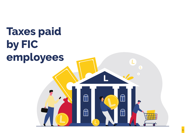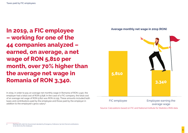**In 2019, a FIC employee – working for one of the 44 companies analyzed – earned, on average, a net wage of RON 5,810 per month, over 70% higher than the average net wage in Romania of RON 3,340.**

In 2019, in order to pay an average net monthly wage in Romania of RON 3,340, the employer had a total cost of RON 5,838; In the case of a FIC company, the total cost of an average net wage of RON 5,810 was RON 10,155. These amounts included both taxes and contributions paid by the employee and those paid by the employer in addition to the employee's gross salary<sup>3</sup>. .





Source: Calculations based on FIC and National Institute for Statistics (INS) data

<sup>3</sup> Starting with 2018, the Government decided by Emergency Ordinance 79/2017 that all contributions to be borne by the employee.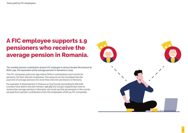# **A FIC employee supports 1.9 pensioners who receive the average pension in Romania.**

*The monthly pension contribution of each FIC employee is almost double the amount of RON 1,292, the equivalent of the average pension in Romania in 2019.*

The FIC companies paid over 259 million RON in contributions each month for pensions, for their 105,000 employees. The amount can be translated into the payment of average pensions for more than 200,000 pensioners in Romania.

For example, if all pensioners in Prahova or Cluj County (according to INS both counties have below 200,000 retirees: 196,369 and 171,922 respectively) were to receive the average pension in Romania, we could say that all pensions in the county are paid from pension contributions from the employees of the 44 FIC companies.

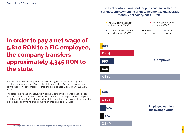## **In order to pay a net wage of 5,810 RON to a FIC employee, the company transfers approximately 4,345 RON to the state.**

For a FIC employee earning a net salary of RON 5,810 per month in 2019, the employer transferred 4,345 RON to the state, consisting of all necessary taxes and contributions. This amount is more than the average net national salary in January 20224 .

The state collects the 4,345 RON from each FIC employee to pay for public goods and services, which it makes available to all citizens. On average, each FIC employee contributes RON 51,600 each year to the state budget, without taking into account the excise duties and VAT he or she pays when shopping, or local taxes.

#### **The total contributions paid for pensions, social health insurance, employment insurance, income tax and average monthly net salary, 2019 (RON).**

| The total contribution for<br>work insurance (CAM)       | $\blacksquare$ The total contributions<br>for pensions (CAS) |  |
|----------------------------------------------------------|--------------------------------------------------------------|--|
| ■ The total contributions for<br>health insurance (CASS) | Personal<br>$\blacksquare$ The net<br>income tax<br>wage     |  |
| 223                                                      |                                                              |  |
| 2,483                                                    |                                                              |  |
| 993                                                      | <b>FIC employee</b>                                          |  |
| 646                                                      |                                                              |  |
| 5,810                                                    |                                                              |  |
|                                                          |                                                              |  |
| 128                                                      |                                                              |  |
| 1,427                                                    |                                                              |  |
| 571                                                      | <b>Employee earning</b><br>the average wage                  |  |
| 371                                                      |                                                              |  |
| 3,340                                                    |                                                              |  |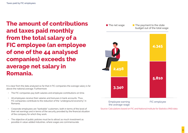**The amount of contributions and taxes paid monthly from the total salary of a FIC employee (an employee of one of the 44 analysed companies) exceeds the average net salary in Romania.**

It is clear from the data analysed so far that in FIC companies the average salary is far above the national average. Furthermore:

- The FIC companies pay both salaries and employee contributions on time.
- All employees receive their salaries and bonuses in bank accounts. Thus, FIC companies contribute to the reduction of the "underground economy" in Romania.
- Corporate employees are "bankable" customers, both in terms of the level of their net earnings and in terms of the security provided by the financial situation of the company for which they work.
- The objective of public policies must be to attract as much investment as possible in value-added industries, where wages are commensurate.



Source: Calculations based on FIC and National Institute for Statistics (INS) data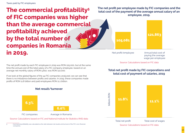**The commercial profitability<sup>5</sup> of FIC companies was higher than the average commercial profitability achieved by the total number of companies in Romania in 2019.**

The net profit made by each FIC employee in 2019 was RON 105,000, but at the same time the annual cost of the total salary of a FIC company employee, based on an average net monthly salary of RON 5,810, was RON 122,000.

If we look at the global figures of the 44 FIC companies analyzed, we can see that there is no imbalance between profits and salaries. In 2019, these companies made profits of RON 11.8 billion and paid employees RON 11.1 billion.





Net profit/employee

Annual total cost of paying the average wage per employee

Source: Calculations based on FIC data

#### **Total net profit made by FIC corporations and total cost of payment of salaries, 2019**



#### **Net result/turnover**



5 Commercial profitability was calculated as the ratio between net results and turnover of the FIC's non-financial companies.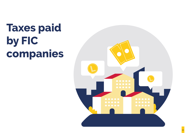# **Taxes paid by FIC companies**

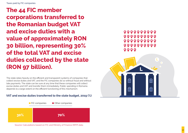**The 44 FIC member corporations transferred to the Romanian budget VAT and excise duties with a value of approximately RON 30 billion, representing 30% of the total VAT and excise duties collected by the state (RON 97 billion).**

The state relies heavily on the efficient and transparent systems of companies that collect excise duties and VAT, and the FIC companies do so without fraud and without late payments. The state can be sure at any time that these companies will collect excise duties and VAT and transfer them immediately. Public spending in Romania depends to a large extent on the efficient functioning of this mechanism.

### **VAT and excise duties transferred to the state budget, 2019 (%)**